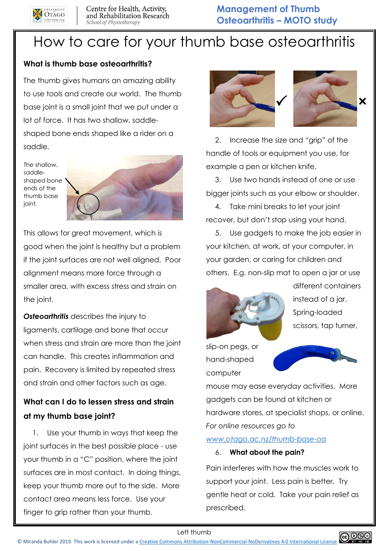

# How to care for your thumb base osteoarthritis

### **What is thumb base osteoarthritis?**

The thumb gives humans an amazing ability to use tools and create our world. The thumb base joint is a small joint that we put under a lot of force. It has two shallow, saddleshaped bone ends shaped like a rider on a saddle.

The shallow, saddleshaped bone ends of the thumb base joint.



This allows for great movement, which is good when the joint is healthy but a problem if the joint surfaces are not well aligned. Poor alignment means more force through a smaller area, with excess stress and strain on the joint.

*Osteoarthritis* describes the injury to ligaments, cartilage and bone that occur when stress and strain are more than the joint can handle. This creates inflammation and pain. Recovery is limited by repeated stress and strain and other factors such as age.

# **What can I do to lessen stress and strain at my thumb base joint?**

1. Use your thumb in ways that keep the joint surfaces in the best possible place - use your thumb in a "C" position, where the joint surfaces are in most contact. In doing things, keep your thumb more out to the side. More contact area means less force. Use your finger to grip rather than your thumb.



2. Increase the size and "grip" of the handle of tools or equipment you use, for example a pen or kitchen knife.

3. Use two hands instead of one or use bigger joints such as your elbow or shoulder.

4. Take mini breaks to let your joint recover, but don't stop using your hand.

5. Use gadgets to make the job easier in your kitchen, at work, at your computer, in your garden, or caring for children and others. E.g. non-slip mat to open a jar or use



different containers instead of a jar. Spring-loaded scissors, tap turner,

slip-on pegs, or hand-shaped computer



mouse may ease everyday activities. More gadgets can be found at kitchen or hardware stores, at specialist shops, or online. *For online resources go to*

#### *[www.otago.ac.nz/thumb-base-oa](http://www.otago.ac.nz/thumb-base-oa)*

#### 6. **What about the pain?**

Pain interferes with how the muscles work to support your joint. Less pain is better. Try gentle heat or cold. Take your pain relief as prescribed.

Left thumb